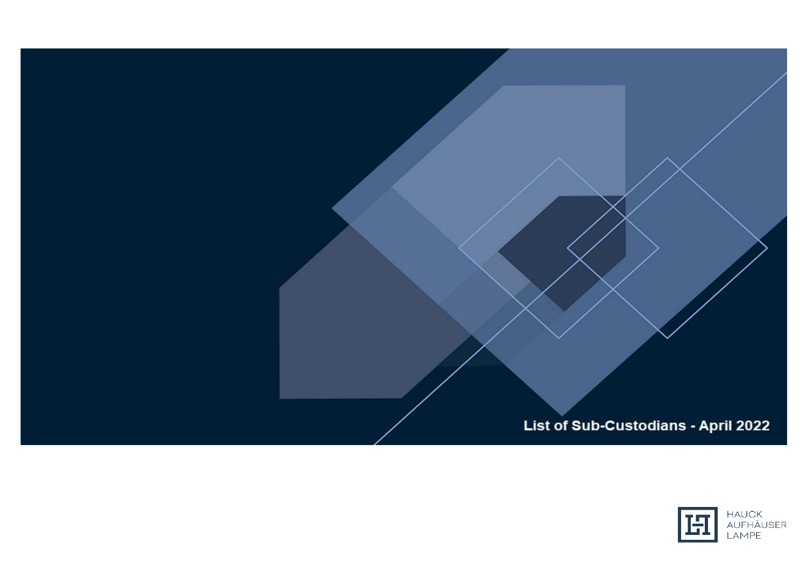List of Sub-Custodians - April 2022

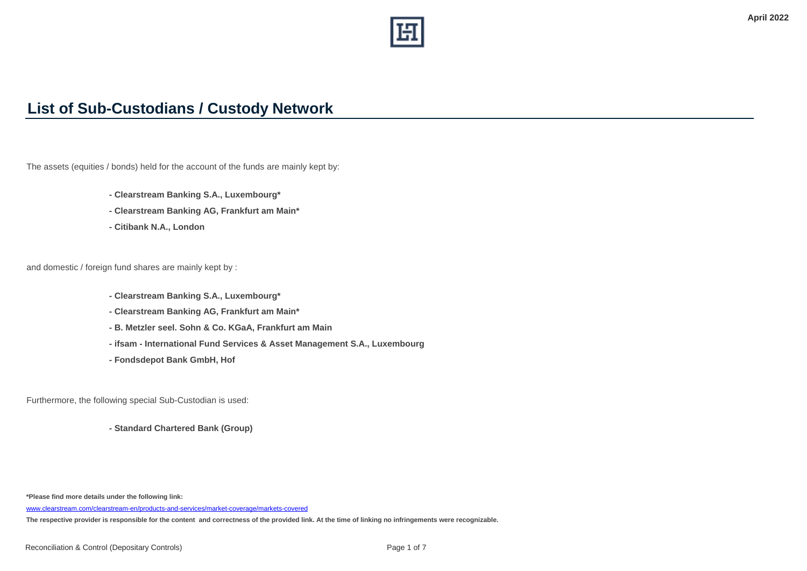

## **List of Sub-Custodians / Custody Network**

The assets (equities / bonds) held for the account of the funds are mainly kept by:

- **Clearstream Banking S.A., Luxembourg\***
- **Clearstream Banking AG, Frankfurt am Main\***
- **Citibank N.A., London**

and domestic / foreign fund shares are mainly kept by :

- **Clearstream Banking S.A., Luxembourg\***
- **Clearstream Banking AG, Frankfurt am Main\***
- **B. Metzler seel. Sohn & Co. KGaA, Frankfurt am Main**
- **ifsam International Fund Services & Asset Management S.A., Luxembourg**
- **Fondsdepot Bank GmbH, Hof**

Furthermore, the following special Sub-Custodian is used:

**- Standard Chartered Bank (Group)**

**\*Please find more details under the following link:** 

[www.clearstream.com/clearstream-en/products-and-services/market-coverage/markets-covered](http://www.clearstream.com/clearstream-en/products-and-services/market-coverage/markets-covered)

**The respective provider is responsible for the content and correctness of the provided link. At the time of linking no infringements were recognizable.**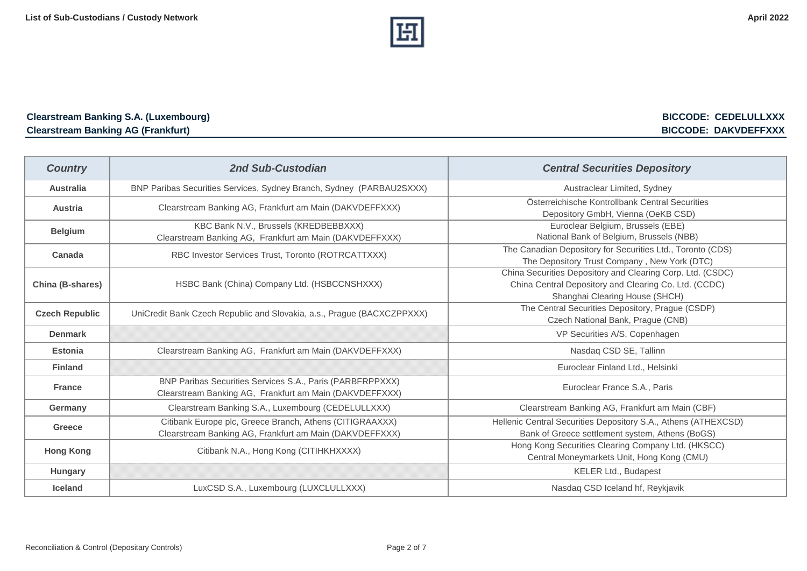

## **Clearstream Banking S.A. (Luxembourg) BICCODE: CEDELULLXXX Clearstream Banking AG (Frankfurt) BICCODE: DAKVDEFFXXX**

| <b>Country</b>        | 2nd Sub-Custodian                                                                                                    | <b>Central Securities Depository</b>                                                                                                                  |
|-----------------------|----------------------------------------------------------------------------------------------------------------------|-------------------------------------------------------------------------------------------------------------------------------------------------------|
| <b>Australia</b>      | BNP Paribas Securities Services, Sydney Branch, Sydney (PARBAU2SXXX)                                                 | Austraclear Limited, Sydney                                                                                                                           |
| <b>Austria</b>        | Clearstream Banking AG, Frankfurt am Main (DAKVDEFFXXX)                                                              | Österreichische Kontrollbank Central Securities<br>Depository GmbH, Vienna (OeKB CSD)                                                                 |
| <b>Belgium</b>        | KBC Bank N.V., Brussels (KREDBEBBXXX)<br>Clearstream Banking AG, Frankfurt am Main (DAKVDEFFXXX)                     | Euroclear Belgium, Brussels (EBE)<br>National Bank of Belgium, Brussels (NBB)                                                                         |
| Canada                | RBC Investor Services Trust, Toronto (ROTRCATTXXX)                                                                   | The Canadian Depository for Securities Ltd., Toronto (CDS)<br>The Depository Trust Company, New York (DTC)                                            |
| China (B-shares)      | HSBC Bank (China) Company Ltd. (HSBCCNSHXXX)                                                                         | China Securities Depository and Clearing Corp. Ltd. (CSDC)<br>China Central Depository and Clearing Co. Ltd. (CCDC)<br>Shanghai Clearing House (SHCH) |
| <b>Czech Republic</b> | UniCredit Bank Czech Republic and Slovakia, a.s., Prague (BACXCZPPXXX)                                               | The Central Securities Depository, Prague (CSDP)<br>Czech National Bank, Prague (CNB)                                                                 |
| <b>Denmark</b>        |                                                                                                                      | VP Securities A/S, Copenhagen                                                                                                                         |
| <b>Estonia</b>        | Clearstream Banking AG, Frankfurt am Main (DAKVDEFFXXX)                                                              | Nasdaq CSD SE, Tallinn                                                                                                                                |
| <b>Finland</b>        |                                                                                                                      | Euroclear Finland Ltd., Helsinki                                                                                                                      |
| <b>France</b>         | BNP Paribas Securities Services S.A., Paris (PARBFRPPXXX)<br>Clearstream Banking AG, Frankfurt am Main (DAKVDEFFXXX) | Euroclear France S.A., Paris                                                                                                                          |
| Germany               | Clearstream Banking S.A., Luxembourg (CEDELULLXXX)                                                                   | Clearstream Banking AG, Frankfurt am Main (CBF)                                                                                                       |
| <b>Greece</b>         | Citibank Europe plc, Greece Branch, Athens (CITIGRAAXXX)<br>Clearstream Banking AG, Frankfurt am Main (DAKVDEFFXXX)  | Hellenic Central Securities Depository S.A., Athens (ATHEXCSD)<br>Bank of Greece settlement system, Athens (BoGS)                                     |
| <b>Hong Kong</b>      | Citibank N.A., Hong Kong (CITIHKHXXXX)                                                                               | Hong Kong Securities Clearing Company Ltd. (HKSCC)<br>Central Moneymarkets Unit, Hong Kong (CMU)                                                      |
| Hungary               |                                                                                                                      | KELER Ltd., Budapest                                                                                                                                  |
| <b>Iceland</b>        | LuxCSD S.A., Luxembourg (LUXCLULLXXX)                                                                                | Nasdaq CSD Iceland hf, Reykjavik                                                                                                                      |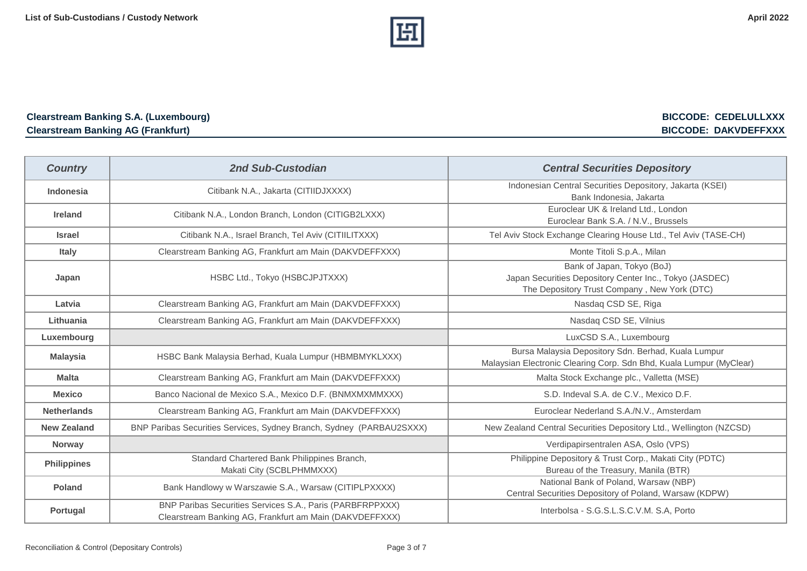

## **Clearstream Banking S.A. (Luxembourg) BICCODE: CEDELULLXXX Clearstream Banking AG (Frankfurt) BICCODE: DAKVDEFFXXX**

| <b>Country</b>     | <b>2nd Sub-Custodian</b>                                                                                             | <b>Central Securities Depository</b>                                                                                                  |
|--------------------|----------------------------------------------------------------------------------------------------------------------|---------------------------------------------------------------------------------------------------------------------------------------|
| Indonesia          | Citibank N.A., Jakarta (CITIIDJXXXX)                                                                                 | Indonesian Central Securities Depository, Jakarta (KSEI)<br>Bank Indonesia, Jakarta                                                   |
| <b>Ireland</b>     | Citibank N.A., London Branch, London (CITIGB2LXXX)                                                                   | Euroclear UK & Ireland Ltd., London<br>Euroclear Bank S.A. / N.V., Brussels                                                           |
| <b>Israel</b>      | Citibank N.A., Israel Branch, Tel Aviv (CITIILITXXX)                                                                 | Tel Aviv Stock Exchange Clearing House Ltd., Tel Aviv (TASE-CH)                                                                       |
| <b>Italy</b>       | Clearstream Banking AG, Frankfurt am Main (DAKVDEFFXXX)                                                              | Monte Titoli S.p.A., Milan                                                                                                            |
| Japan              | HSBC Ltd., Tokyo (HSBCJPJTXXX)                                                                                       | Bank of Japan, Tokyo (BoJ)<br>Japan Securities Depository Center Inc., Tokyo (JASDEC)<br>The Depository Trust Company, New York (DTC) |
| Latvia             | Clearstream Banking AG, Frankfurt am Main (DAKVDEFFXXX)                                                              | Nasdaq CSD SE, Riga                                                                                                                   |
| Lithuania          | Clearstream Banking AG, Frankfurt am Main (DAKVDEFFXXX)                                                              | Nasdaq CSD SE, Vilnius                                                                                                                |
| Luxembourg         |                                                                                                                      | LuxCSD S.A., Luxembourg                                                                                                               |
| <b>Malaysia</b>    | HSBC Bank Malaysia Berhad, Kuala Lumpur (HBMBMYKLXXX)                                                                | Bursa Malaysia Depository Sdn. Berhad, Kuala Lumpur<br>Malaysian Electronic Clearing Corp. Sdn Bhd, Kuala Lumpur (MyClear)            |
| <b>Malta</b>       | Clearstream Banking AG, Frankfurt am Main (DAKVDEFFXXX)                                                              | Malta Stock Exchange plc., Valletta (MSE)                                                                                             |
| <b>Mexico</b>      | Banco Nacional de Mexico S.A., Mexico D.F. (BNMXMXMMXXX)                                                             | S.D. Indeval S.A. de C.V., Mexico D.F.                                                                                                |
| <b>Netherlands</b> | Clearstream Banking AG, Frankfurt am Main (DAKVDEFFXXX)                                                              | Euroclear Nederland S.A./N.V., Amsterdam                                                                                              |
| <b>New Zealand</b> | BNP Paribas Securities Services, Sydney Branch, Sydney (PARBAU2SXXX)                                                 | New Zealand Central Securities Depository Ltd., Wellington (NZCSD)                                                                    |
| <b>Norway</b>      |                                                                                                                      | Verdipapirsentralen ASA, Oslo (VPS)                                                                                                   |
| <b>Philippines</b> | Standard Chartered Bank Philippines Branch,<br>Makati City (SCBLPHMMXXX)                                             | Philippine Depository & Trust Corp., Makati City (PDTC)<br>Bureau of the Treasury, Manila (BTR)                                       |
| <b>Poland</b>      | Bank Handlowy w Warszawie S.A., Warsaw (CITIPLPXXXX)                                                                 | National Bank of Poland, Warsaw (NBP)<br>Central Securities Depository of Poland, Warsaw (KDPW)                                       |
| Portugal           | BNP Paribas Securities Services S.A., Paris (PARBFRPPXXX)<br>Clearstream Banking AG, Frankfurt am Main (DAKVDEFFXXX) | Interbolsa - S.G.S.L.S.C.V.M. S.A, Porto                                                                                              |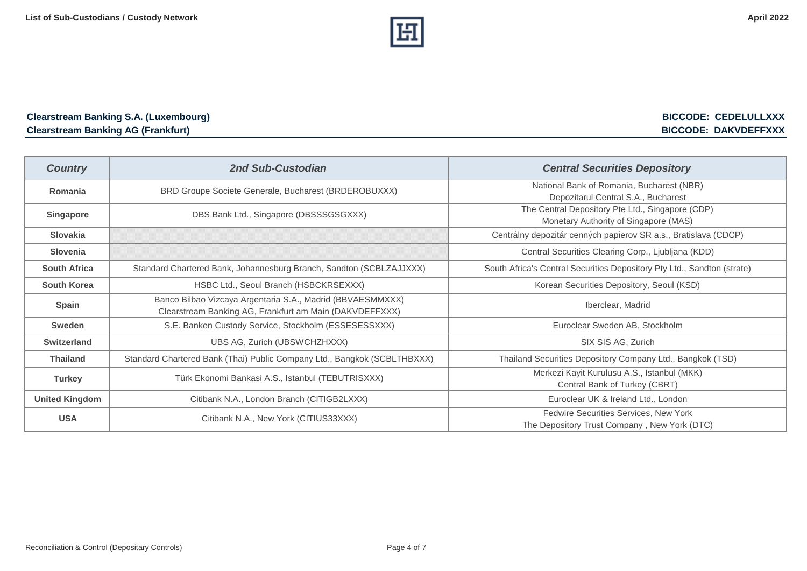

## **Clearstream Banking S.A. (Luxembourg) BICCODE: CEDELULLXXX Clearstream Banking AG (Frankfurt) BICCODE: DAKVDEFFXXX**

| <b>Country</b>        | 2nd Sub-Custodian                                                                                                     | <b>Central Securities Depository</b>                                                      |
|-----------------------|-----------------------------------------------------------------------------------------------------------------------|-------------------------------------------------------------------------------------------|
| Romania               | BRD Groupe Societe Generale, Bucharest (BRDEROBUXXX)                                                                  | National Bank of Romania, Bucharest (NBR)<br>Depozitarul Central S.A., Bucharest          |
| <b>Singapore</b>      | DBS Bank Ltd., Singapore (DBSSSGSGXXX)                                                                                | The Central Depository Pte Ltd., Singapore (CDP)<br>Monetary Authority of Singapore (MAS) |
| <b>Slovakia</b>       |                                                                                                                       | Centrálny depozitár cenných papierov SR a.s., Bratislava (CDCP)                           |
| <b>Slovenia</b>       |                                                                                                                       | Central Securities Clearing Corp., Ljubljana (KDD)                                        |
| <b>South Africa</b>   | Standard Chartered Bank, Johannesburg Branch, Sandton (SCBLZAJJXXX)                                                   | South Africa's Central Securities Depository Pty Ltd., Sandton (strate)                   |
| <b>South Korea</b>    | HSBC Ltd., Seoul Branch (HSBCKRSEXXX)                                                                                 | Korean Securities Depository, Seoul (KSD)                                                 |
| Spain                 | Banco Bilbao Vizcaya Argentaria S.A., Madrid (BBVAESMMXXX)<br>Clearstream Banking AG, Frankfurt am Main (DAKVDEFFXXX) | Iberclear, Madrid                                                                         |
| Sweden                | S.E. Banken Custody Service, Stockholm (ESSESESSXXX)                                                                  | Euroclear Sweden AB, Stockholm                                                            |
| <b>Switzerland</b>    | UBS AG, Zurich (UBSWCHZHXXX)                                                                                          | SIX SIS AG, Zurich                                                                        |
| <b>Thailand</b>       | Standard Chartered Bank (Thai) Public Company Ltd., Bangkok (SCBLTHBXXX)                                              | Thailand Securities Depository Company Ltd., Bangkok (TSD)                                |
| <b>Turkey</b>         | Türk Ekonomi Bankasi A.S., Istanbul (TEBUTRISXXX)                                                                     | Merkezi Kayit Kurulusu A.S., Istanbul (MKK)<br>Central Bank of Turkey (CBRT)              |
| <b>United Kingdom</b> | Citibank N.A., London Branch (CITIGB2LXXX)                                                                            | Euroclear UK & Ireland Ltd., London                                                       |
| <b>USA</b>            | Citibank N.A., New York (CITIUS33XXX)                                                                                 | Fedwire Securities Services, New York<br>The Depository Trust Company, New York (DTC)     |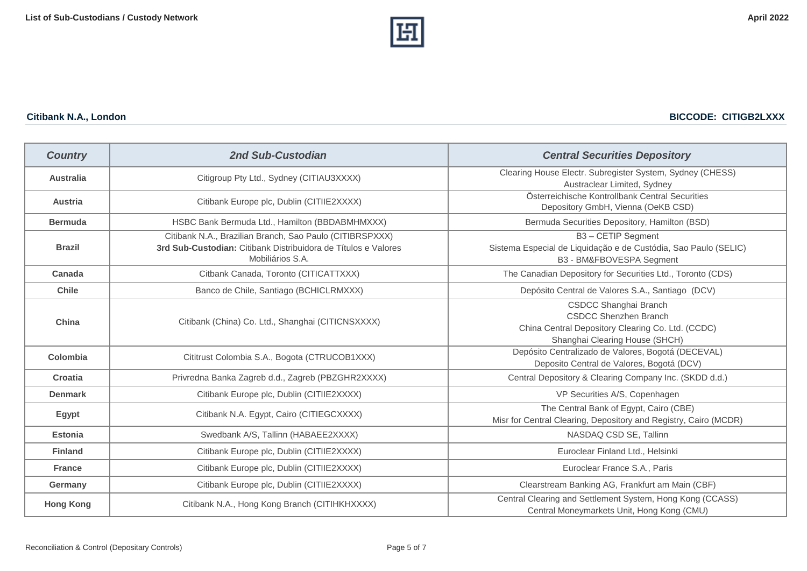

| <b>Country</b>   | 2nd Sub-Custodian                                                                                                                              | <b>Central Securities Depository</b>                                                                                                         |
|------------------|------------------------------------------------------------------------------------------------------------------------------------------------|----------------------------------------------------------------------------------------------------------------------------------------------|
| <b>Australia</b> | Citigroup Pty Ltd., Sydney (CITIAU3XXXX)                                                                                                       | Clearing House Electr. Subregister System, Sydney (CHESS)<br>Austraclear Limited, Sydney                                                     |
| Austria          | Citibank Europe plc, Dublin (CITIIE2XXXX)                                                                                                      | Österreichische Kontrollbank Central Securities<br>Depository GmbH, Vienna (OeKB CSD)                                                        |
| <b>Bermuda</b>   | HSBC Bank Bermuda Ltd., Hamilton (BBDABMHMXXX)                                                                                                 | Bermuda Securities Depository, Hamilton (BSD)                                                                                                |
| <b>Brazil</b>    | Citibank N.A., Brazilian Branch, Sao Paulo (CITIBRSPXXX)<br>3rd Sub-Custodian: Citibank Distribuidora de Títulos e Valores<br>Mobiliários S.A. | B3 - CETIP Segment<br>Sistema Especial de Liquidação e de Custódia, Sao Paulo (SELIC)<br>B3 - BM&FBOVESPA Segment                            |
| Canada           | Citbank Canada, Toronto (CITICATTXXX)                                                                                                          | The Canadian Depository for Securities Ltd., Toronto (CDS)                                                                                   |
| <b>Chile</b>     | Banco de Chile, Santiago (BCHICLRMXXX)                                                                                                         | Depósito Central de Valores S.A., Santiago (DCV)                                                                                             |
| China            | Citibank (China) Co. Ltd., Shanghai (CITICNSXXXX)                                                                                              | CSDCC Shanghai Branch<br><b>CSDCC Shenzhen Branch</b><br>China Central Depository Clearing Co. Ltd. (CCDC)<br>Shanghai Clearing House (SHCH) |
| Colombia         | Cititrust Colombia S.A., Bogota (CTRUCOB1XXX)                                                                                                  | Depósito Centralizado de Valores, Bogotá (DECEVAL)<br>Deposito Central de Valores, Bogotá (DCV)                                              |
| Croatia          | Privredna Banka Zagreb d.d., Zagreb (PBZGHR2XXXX)                                                                                              | Central Depository & Clearing Company Inc. (SKDD d.d.)                                                                                       |
| <b>Denmark</b>   | Citibank Europe plc, Dublin (CITIIE2XXXX)                                                                                                      | VP Securities A/S, Copenhagen                                                                                                                |
| <b>Egypt</b>     | Citibank N.A. Egypt, Cairo (CITIEGCXXXX)                                                                                                       | The Central Bank of Egypt, Cairo (CBE)<br>Misr for Central Clearing, Depository and Registry, Cairo (MCDR)                                   |
| <b>Estonia</b>   | Swedbank A/S, Tallinn (HABAEE2XXXX)                                                                                                            | NASDAQ CSD SE, Tallinn                                                                                                                       |
| <b>Finland</b>   | Citibank Europe plc, Dublin (CITIIE2XXXX)                                                                                                      | Euroclear Finland Ltd., Helsinki                                                                                                             |
| <b>France</b>    | Citibank Europe plc, Dublin (CITIIE2XXXX)                                                                                                      | Euroclear France S.A., Paris                                                                                                                 |
| Germany          | Citibank Europe plc, Dublin (CITIIE2XXXX)                                                                                                      | Clearstream Banking AG, Frankfurt am Main (CBF)                                                                                              |
| <b>Hong Kong</b> | Citibank N.A., Hong Kong Branch (CITIHKHXXXX)                                                                                                  | Central Clearing and Settlement System, Hong Kong (CCASS)<br>Central Moneymarkets Unit, Hong Kong (CMU)                                      |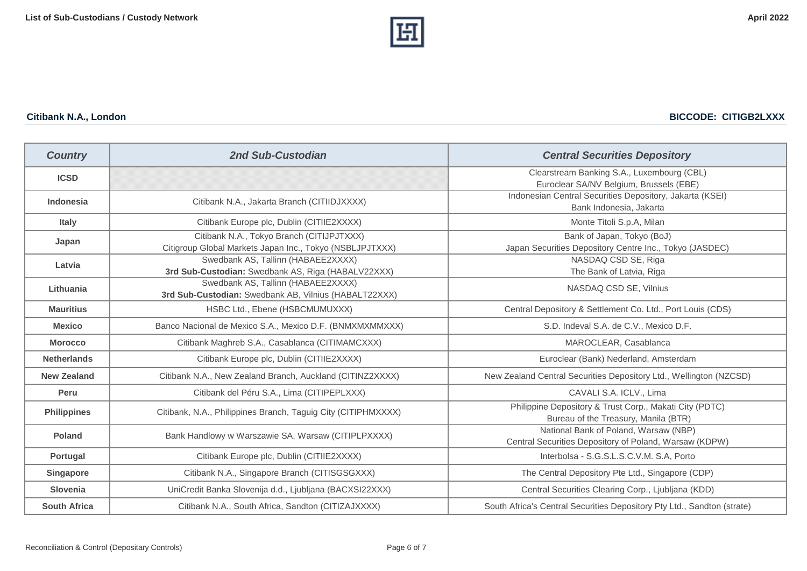

**Citibank N.A., London BICCODE: CITIGB2LXXX**

| <b>Country</b>      | 2nd Sub-Custodian                                                                                     | <b>Central Securities Depository</b>                                                            |
|---------------------|-------------------------------------------------------------------------------------------------------|-------------------------------------------------------------------------------------------------|
| <b>ICSD</b>         |                                                                                                       | Clearstream Banking S.A., Luxembourg (CBL)<br>Euroclear SA/NV Belgium, Brussels (EBE)           |
| <b>Indonesia</b>    | Citibank N.A., Jakarta Branch (CITIIDJXXXX)                                                           | Indonesian Central Securities Depository, Jakarta (KSEI)<br>Bank Indonesia, Jakarta             |
| Italy               | Citibank Europe plc, Dublin (CITIIE2XXXX)                                                             | Monte Titoli S.p.A, Milan                                                                       |
| Japan               | Citibank N.A., Tokyo Branch (CITIJPJTXXX)<br>Citigroup Global Markets Japan Inc., Tokyo (NSBLJPJTXXX) | Bank of Japan, Tokyo (BoJ)<br>Japan Securities Depository Centre Inc., Tokyo (JASDEC)           |
| Latvia              | Swedbank AS, Tallinn (HABAEE2XXXX)<br>3rd Sub-Custodian: Swedbank AS, Riga (HABALV22XXX)              | NASDAQ CSD SE, Riga<br>The Bank of Latvia, Riga                                                 |
| Lithuania           | Swedbank AS, Tallinn (HABAEE2XXXX)<br>3rd Sub-Custodian: Swedbank AB, Vilnius (HABALT22XXX)           | NASDAQ CSD SE, Vilnius                                                                          |
| <b>Mauritius</b>    | HSBC Ltd., Ebene (HSBCMUMUXXX)                                                                        | Central Depository & Settlement Co. Ltd., Port Louis (CDS)                                      |
| <b>Mexico</b>       | Banco Nacional de Mexico S.A., Mexico D.F. (BNMXMXMMXXX)                                              | S.D. Indeval S.A. de C.V., Mexico D.F.                                                          |
| <b>Morocco</b>      | Citibank Maghreb S.A., Casablanca (CITIMAMCXXX)                                                       | MAROCLEAR, Casablanca                                                                           |
| <b>Netherlands</b>  | Citibank Europe plc, Dublin (CITIIE2XXXX)                                                             | Euroclear (Bank) Nederland, Amsterdam                                                           |
| <b>New Zealand</b>  | Citibank N.A., New Zealand Branch, Auckland (CITINZ2XXXX)                                             | New Zealand Central Securities Depository Ltd., Wellington (NZCSD)                              |
| Peru                | Citibank del Péru S.A., Lima (CITIPEPLXXX)                                                            | CAVALI S.A. ICLV., Lima                                                                         |
| <b>Philippines</b>  | Citibank, N.A., Philippines Branch, Taguig City (CITIPHMXXXX)                                         | Philippine Depository & Trust Corp., Makati City (PDTC)<br>Bureau of the Treasury, Manila (BTR) |
| <b>Poland</b>       | Bank Handlowy w Warszawie SA, Warsaw (CITIPLPXXXX)                                                    | National Bank of Poland, Warsaw (NBP)<br>Central Securities Depository of Poland, Warsaw (KDPW) |
| Portugal            | Citibank Europe plc, Dublin (CITIIE2XXXX)                                                             | Interbolsa - S.G.S.L.S.C.V.M. S.A, Porto                                                        |
| Singapore           | Citibank N.A., Singapore Branch (CITISGSGXXX)                                                         | The Central Depository Pte Ltd., Singapore (CDP)                                                |
| Slovenia            | UniCredit Banka Slovenija d.d., Ljubljana (BACXSI22XXX)                                               | Central Securities Clearing Corp., Ljubljana (KDD)                                              |
| <b>South Africa</b> | Citibank N.A., South Africa, Sandton (CITIZAJXXXX)                                                    | South Africa's Central Securities Depository Pty Ltd., Sandton (strate)                         |